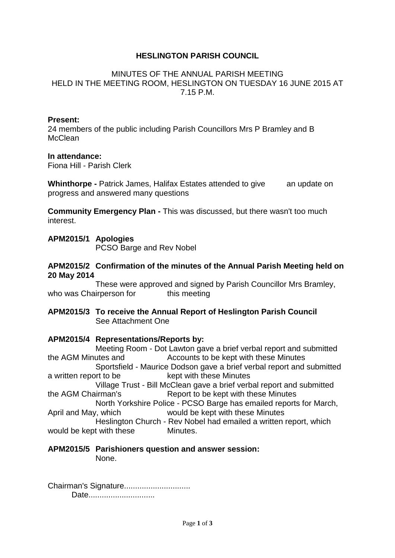# **HESLINGTON PARISH COUNCIL**

### MINUTES OF THE ANNUAL PARISH MEETING HELD IN THE MEETING ROOM, HESLINGTON ON TUESDAY 16 JUNE 2015 AT 7.15 P.M.

### **Present:**

24 members of the public including Parish Councillors Mrs P Bramley and B **McClean** 

### **In attendance:**

Fiona Hill - Parish Clerk

**Whinthorpe -** Patrick James, Halifax Estates attended to give an update on progress and answered many questions

**Community Emergency Plan -** This was discussed, but there wasn't too much interest.

### **APM2015/1 Apologies**

PCSO Barge and Rev Nobel

### **APM2015/2 Confirmation of the minutes of the Annual Parish Meeting held on 20 May 2014**

These were approved and signed by Parish Councillor Mrs Bramley, who was Chairperson for this meeting

## **APM2015/3 To receive the Annual Report of Heslington Parish Council** See Attachment One

### **APM2015/4 Representations/Reports by:**

Meeting Room - Dot Lawton gave a brief verbal report and submitted the AGM Minutes and Accounts to be kept with these Minutes Sportsfield - Maurice Dodson gave a brief verbal report and submitted a written report to be kept with these Minutes Village Trust - Bill McClean gave a brief verbal report and submitted

the AGM Chairman's Report to be kept with these Minutes North Yorkshire Police - PCSO Barge has emailed reports for March,

April and May, which would be kept with these Minutes

Heslington Church - Rev Nobel had emailed a written report, which would be kept with these Minutes.

#### **APM2015/5 Parishioners question and answer session:** None.

Chairman's Signature.............................. Date...............................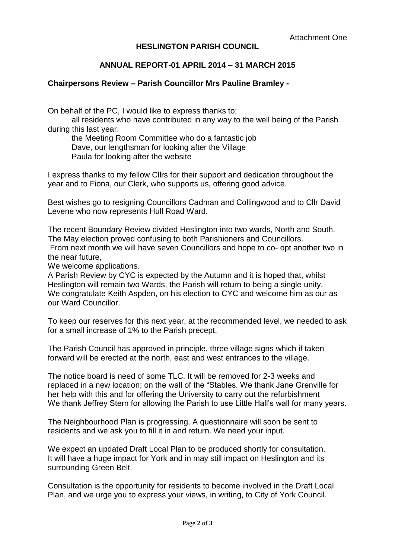# **HESLINGTON PARISH COUNCIL**

# **ANNUAL REPORT-01 APRIL 2014 – 31 MARCH 2015**

## **Chairpersons Review – Parish Councillor Mrs Pauline Bramley -**

On behalf of the PC, I would like to express thanks to;

all residents who have contributed in any way to the well being of the Parish during this last year.

the Meeting Room Committee who do a fantastic job Dave, our lengthsman for looking after the Village Paula for looking after the website

I express thanks to my fellow Cllrs for their support and dedication throughout the year and to Fiona, our Clerk, who supports us, offering good advice.

Best wishes go to resigning Councillors Cadman and Collingwood and to Cllr David Levene who now represents Hull Road Ward.

The recent Boundary Review divided Heslington into two wards, North and South. The May election proved confusing to both Parishioners and Councillors. From next month we will have seven Councillors and hope to co- opt another two in the near future,

We welcome applications.

A Parish Review by CYC is expected by the Autumn and it is hoped that, whilst Heslington will remain two Wards, the Parish will return to being a single unity. We congratulate Keith Aspden, on his election to CYC and welcome him as our as our Ward Councillor.

To keep our reserves for this next year, at the recommended level, we needed to ask for a small increase of 1% to the Parish precept.

The Parish Council has approved in principle, three village signs which if taken forward will be erected at the north, east and west entrances to the village.

The notice board is need of some TLC. It will be removed for 2-3 weeks and replaced in a new location; on the wall of the "Stables. We thank Jane Grenville for her help with this and for offering the University to carry out the refurbishment We thank Jeffrey Stern for allowing the Parish to use Little Hall's wall for many years.

The Neighbourhood Plan is progressing. A questionnaire will soon be sent to residents and we ask you to fill it in and return. We need your input.

We expect an updated Draft Local Plan to be produced shortly for consultation. It will have a huge impact for York and in may still impact on Heslington and its surrounding Green Belt.

Consultation is the opportunity for residents to become involved in the Draft Local Plan, and we urge you to express your views, in writing, to City of York Council.